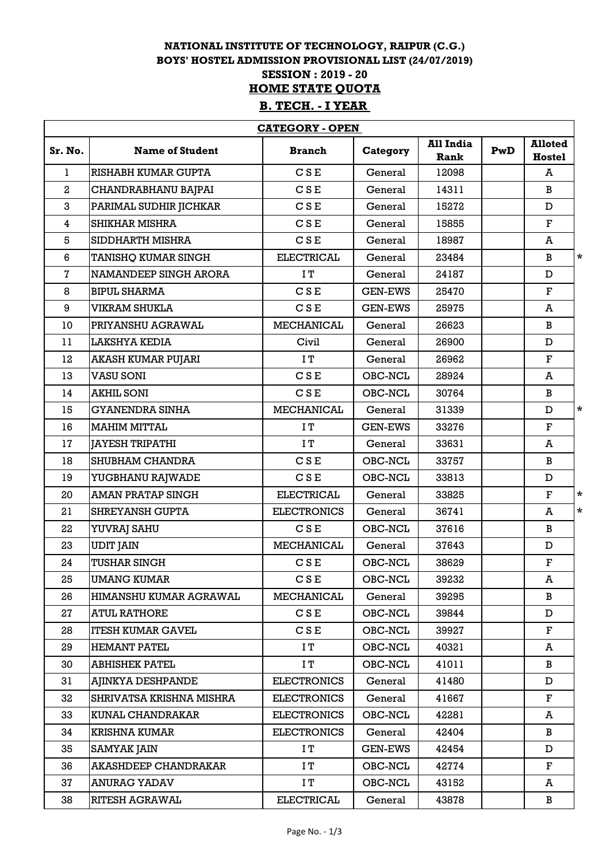## **NATIONAL INSTITUTE OF TECHNOLOGY, RAIPUR (C.G.) BOYS' HOSTEL ADMISSION PROVISIONAL LIST (24/07/2019) SESSION : 2019 - 20 B. TECH. - I YEAR HOME STATE QUOTA**

| <b>CATEGORY - OPEN</b>  |                               |                    |                |                          |     |                                 |         |
|-------------------------|-------------------------------|--------------------|----------------|--------------------------|-----|---------------------------------|---------|
| Sr. No.                 | <b>Name of Student</b>        | <b>Branch</b>      | Category       | <b>All India</b><br>Rank | PwD | <b>Alloted</b><br><b>Hostel</b> |         |
| $\mathbf{1}$            | RISHABH KUMAR GUPTA           | C S E              | General        | 12098                    |     | A                               |         |
| $\overline{a}$          | CHANDRABHANU BAJPAI           | <b>CSE</b>         | General        | 14311                    |     | B                               |         |
| 3                       | PARIMAL SUDHIR JICHKAR        | CSE                | General        | 15272                    |     | D                               |         |
| $\overline{\mathbf{4}}$ | <b>SHIKHAR MISHRA</b>         | CSE                | General        | 15855                    |     | $\mathbf{F}$                    |         |
| 5                       | SIDDHARTH MISHRA              | <b>CSE</b>         | General        | 18987                    |     | A                               |         |
| $6\phantom{1}$          | <b>TANISHQ KUMAR SINGH</b>    | <b>ELECTRICAL</b>  | General        | 23484                    |     | B                               | $\star$ |
| $\mathbf{7}$            | NAMANDEEP SINGH ARORA         | IT                 | General        | 24187                    |     | D                               |         |
| 8                       | <b>BIPUL SHARMA</b>           | <b>CSE</b>         | <b>GEN-EWS</b> | 25470                    |     | $\mathbf F$                     |         |
| 9                       | <b>VIKRAM SHUKLA</b>          | CSE                | <b>GEN-EWS</b> | 25975                    |     | A                               |         |
| 10                      | PRIYANSHU AGRAWAL             | <b>MECHANICAL</b>  | General        | 26623                    |     | B                               |         |
| 11                      | <b>LAKSHYA KEDIA</b>          | Civil              | General        | 26900                    |     | D                               |         |
| 12                      | AKASH KUMAR PUJARI            | IT                 | General        | 26962                    |     | $\mathbf F$                     |         |
| 13                      | <b>VASU SONI</b>              | CSE                | OBC-NCL        | 28924                    |     | A                               |         |
| 14                      | <b>AKHIL SONI</b>             | CSE                | OBC-NCL        | 30764                    |     | B                               |         |
| 15                      | <b>GYANENDRA SINHA</b>        | <b>MECHANICAL</b>  | General        | 31339                    |     | D                               | $\star$ |
| 16                      | <b>MAHIM MITTAL</b>           | IT                 | <b>GEN-EWS</b> | 33276                    |     | F                               |         |
| 17                      | <b>JAYESH TRIPATHI</b>        | ΙT                 | General        | 33631                    |     | A                               |         |
| 18                      | SHUBHAM CHANDRA               | CSE                | OBC-NCL        | 33757                    |     | B                               |         |
| 19                      | YUGBHANU RAJWADE              | <b>CSE</b>         | OBC-NCL        | 33813                    |     | D                               |         |
| 20                      | <b>AMAN PRATAP SINGH</b>      | <b>ELECTRICAL</b>  | General        | 33825                    |     | $\mathbf F$                     | $\star$ |
| 21                      | <b>SHREYANSH GUPTA</b>        | <b>ELECTRONICS</b> | General        | 36741                    |     | A                               | $\star$ |
| 22                      | <b>YUVRAJ SAHU</b>            | CSE                | OBC-NCL        | 37616                    |     | B                               |         |
| 23                      | <b>UDIT JAIN</b>              | <b>MECHANICAL</b>  | General        | 37643                    |     | D                               |         |
| 24                      | <b>TUSHAR SINGH</b>           | <b>CSE</b>         | OBC-NCL        | 38629                    |     | F                               |         |
| 25                      | <b>UMANG KUMAR</b>            | CSE                | OBC-NCL        | 39232                    |     | A                               |         |
| 26                      | <b>HIMANSHU KUMAR AGRAWAL</b> | MECHANICAL         | General        | 39295                    |     | B                               |         |
| 27                      | <b>ATUL RATHORE</b>           | CSE                | OBC-NCL        | 39844                    |     | D                               |         |
| 28                      | <b>ITESH KUMAR GAVEL</b>      | <b>CSE</b>         | OBC-NCL        | 39927                    |     | F                               |         |
| 29                      | <b>HEMANT PATEL</b>           | ΙT                 | OBC-NCL        | 40321                    |     | A                               |         |
| 30                      | <b>ABHISHEK PATEL</b>         | IT.                | OBC-NCL        | 41011                    |     | B                               |         |
| 31                      | AJINKYA DESHPANDE             | <b>ELECTRONICS</b> | General        | 41480                    |     | D                               |         |
| 32                      | SHRIVATSA KRISHNA MISHRA      | <b>ELECTRONICS</b> | General        | 41667                    |     | F                               |         |
| 33                      | KUNAL CHANDRAKAR              | <b>ELECTRONICS</b> | OBC-NCL        | 42281                    |     | A                               |         |
| 34                      | <b>KRISHNA KUMAR</b>          | <b>ELECTRONICS</b> | General        | 42404                    |     | B                               |         |
| 35                      | <b>SAMYAK JAIN</b>            | IT                 | <b>GEN-EWS</b> | 42454                    |     | D                               |         |
| 36                      | AKASHDEEP CHANDRAKAR          | ΙT                 | OBC-NCL        | 42774                    |     | F                               |         |
| 37                      | <b>ANURAG YADAV</b>           | ΙT                 | OBC-NCL        | 43152                    |     | A                               |         |
| 38                      | <b>RITESH AGRAWAL</b>         | <b>ELECTRICAL</b>  | General        | 43878                    |     | B                               |         |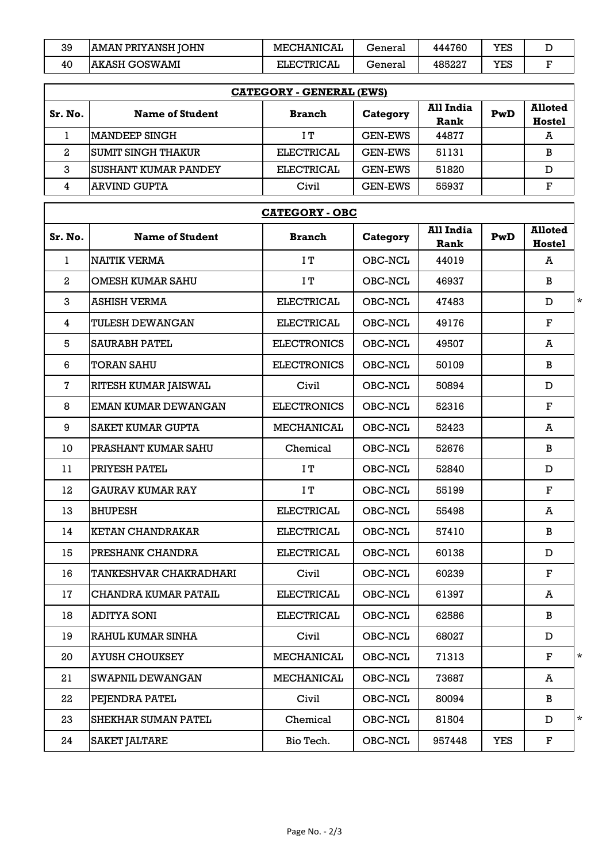| 39 | IAMAN PRIYANSH IOHN | MECHANICAL        | General | 444760 | YES |  |
|----|---------------------|-------------------|---------|--------|-----|--|
| 40 | IAKASH GOSWAMI      | <b>ELECTRICAL</b> | General | 485227 | YES |  |

| <b>CATEGORY - GENERAL (EWS)</b> |                             |               |                |                          |     |                                 |  |  |
|---------------------------------|-----------------------------|---------------|----------------|--------------------------|-----|---------------------------------|--|--|
| Sr. No.                         | <b>Name of Student</b>      | <b>Branch</b> | Category       | All India<br><b>Rank</b> | PwD | <b>Alloted</b><br><b>Hostel</b> |  |  |
|                                 | IMANDEEP SINGH              | IΤ            | <b>GEN-EWS</b> | 44877                    |     | A                               |  |  |
| $\mathbf{2}$                    | ISUMIT SINGH THAKUR         | ELECTRICAL    | <b>GEN-EWS</b> | 51131                    |     | в                               |  |  |
| 3                               | <b>SUSHANT KUMAR PANDEY</b> | ELECTRICAL    | <b>GEN-EWS</b> | 51820                    |     |                                 |  |  |
|                                 | <b>ARVIND GUPTA</b>         | Civil         | <b>GEN-EWS</b> | 55937                    |     | г                               |  |  |

|                         | <b>CATEGORY - OBC</b>      |                    |          |                                 |            |                                 |         |  |  |
|-------------------------|----------------------------|--------------------|----------|---------------------------------|------------|---------------------------------|---------|--|--|
| Sr. No.                 | <b>Name of Student</b>     | <b>Branch</b>      | Category | <b>All India</b><br><b>Rank</b> | PwD        | <b>Alloted</b><br><b>Hostel</b> |         |  |  |
| $\mathbf{1}$            | <b>NAITIK VERMA</b>        | IT                 | OBC-NCL  | 44019                           |            | A                               |         |  |  |
| $\boldsymbol{2}$        | <b>OMESH KUMAR SAHU</b>    | IT                 | OBC-NCL  | 46937                           |            | B                               |         |  |  |
| 3                       | <b>ASHISH VERMA</b>        | <b>ELECTRICAL</b>  | OBC-NCL  | 47483                           |            | D                               | $\star$ |  |  |
| $\overline{\mathbf{4}}$ | <b>TULESH DEWANGAN</b>     | <b>ELECTRICAL</b>  | OBC-NCL  | 49176                           |            | $\mathbf F$                     |         |  |  |
| 5                       | <b>SAURABH PATEL</b>       | <b>ELECTRONICS</b> | OBC-NCL  | 49507                           |            | A                               |         |  |  |
| 6                       | <b>TORAN SAHU</b>          | <b>ELECTRONICS</b> | OBC-NCL  | 50109                           |            | B                               |         |  |  |
| $\overline{\bf 7}$      | RITESH KUMAR JAISWAL       | Civil              | OBC-NCL  | 50894                           |            | D                               |         |  |  |
| 8                       | EMAN KUMAR DEWANGAN        | <b>ELECTRONICS</b> | OBC-NCL  | 52316                           |            | $\mathbf F$                     |         |  |  |
| 9                       | <b>SAKET KUMAR GUPTA</b>   | <b>MECHANICAL</b>  | OBC-NCL  | 52423                           |            | A                               |         |  |  |
| 10                      | PRASHANT KUMAR SAHU        | Chemical           | OBC-NCL  | 52676                           |            | B                               |         |  |  |
| 11                      | PRIYESH PATEL              | IT                 | OBC-NCL  | 52840                           |            | D                               |         |  |  |
| 12                      | <b>GAURAV KUMAR RAY</b>    | IT                 | OBC-NCL  | 55199                           |            | $\mathbf F$                     |         |  |  |
| 13                      | <b>BHUPESH</b>             | <b>ELECTRICAL</b>  | OBC-NCL  | 55498                           |            | A                               |         |  |  |
| 14                      | <b>KETAN CHANDRAKAR</b>    | <b>ELECTRICAL</b>  | OBC-NCL  | 57410                           |            | B                               |         |  |  |
| 15                      | PRESHANK CHANDRA           | <b>ELECTRICAL</b>  | OBC-NCL  | 60138                           |            | D                               |         |  |  |
| 16                      | TANKESHVAR CHAKRADHARI     | Civil              | OBC-NCL  | 60239                           |            | $\mathbf F$                     |         |  |  |
| 17                      | CHANDRA KUMAR PATAIL       | <b>ELECTRICAL</b>  | OBC-NCL  | 61397                           |            | A                               |         |  |  |
| 18                      | <b>ADITYA SONI</b>         | <b>ELECTRICAL</b>  | OBC-NCL  | 62586                           |            | B                               |         |  |  |
| 19                      | <b>RAHUL KUMAR SINHA</b>   | Civil              | OBC-NCL  | 68027                           |            | D                               |         |  |  |
| 20                      | AYUSH CHOUKSEY             | MECHANICAL         | OBC-NCL  | 71313                           |            | $\mathbf F$                     | $\star$ |  |  |
| 21                      | <b>SWAPNIL DEWANGAN</b>    | MECHANICAL         | OBC-NCL  | 73687                           |            | A                               |         |  |  |
| 22                      | PEJENDRA PATEL             | Civil              | OBC-NCL  | 80094                           |            | B                               |         |  |  |
| 23                      | <b>SHEKHAR SUMAN PATEL</b> | Chemical           | OBC-NCL  | 81504                           |            | $\mathbf D$                     | $\star$ |  |  |
| 24                      | <b>SAKET JALTARE</b>       | Bio Tech.          | OBC-NCL  | 957448                          | <b>YES</b> | $\mathbf F$                     |         |  |  |